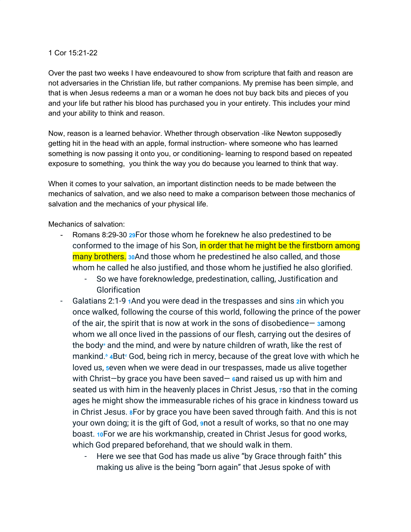## 1 Cor 15:21-22

Over the past two weeks I have endeavoured to show from scripture that faith and reason are not adversaries in the Christian life, but rather companions. My premise has been simple, and that is when Jesus redeems a man or a woman he does not buy back bits and pieces of you and your life but rather his blood has purchased you in your entirety. This includes your mind and your ability to think and reason.

Now, reason is a learned behavior. Whether through observation -like Newton supposedly getting hit in the head with an apple, formal instruction- where someone who has learned something is now passing it onto you, or conditioning- learning to respond based on repeated exposure to something, you think the way you do because you learned to think that way.

When it comes to your salvation, an important distinction needs to be made between the mechanics of salvation, and we also need to make a comparison between those mechanics of salvation and the mechanics of your physical life.

Mechanics of salvation:

- Romans 8:[29](http://biblehub.com/romans/8-29.htm)-30 29For those whom he foreknew he also predestined to be conformed to the image of his Son, in order that he might be the firstborn among many brothers. **[30](http://biblehub.com/romans/8-30.htm)**And those whom he predestined he also called, and those whom he called he also justified, and those whom he justified he also glorified.
	- So we have foreknowledge, predestination, calling, Justification and **Glorification**
- Galatians 2:1-9 **[1](http://biblehub.com/ephesians/2-1.htm)**And you were dead in the trespasses and sins **[2](http://biblehub.com/ephesians/2-2.htm)**in which you once walked, following the course of this world, following the prince of the power of the air, the spirit that is now at work in the sons of disobedience— **[3](http://biblehub.com/ephesians/2-3.htm)**among whom we all once lived in the passions of our flesh, carrying out the desires of the body*[a](https://biblehub.com/esv/ephesians/2.htm#footnotes)* and the mind, and were by nature children of wrath, like the rest of mankind.*[b](https://biblehub.com/esv/ephesians/2.htm#footnotes)* **[4](http://biblehub.com/ephesians/2-4.htm)**But*[c](https://biblehub.com/esv/ephesians/2.htm#footnotes)* God, being rich in mercy, because of the great love with which he loved us, **[5](http://biblehub.com/ephesians/2-5.htm)**even when we were dead in our trespasses, made us alive together with Christ—by grace you have been saved— **[6](http://biblehub.com/ephesians/2-6.htm)**and raised us up with him and seated us with him in the heavenly places in Christ Jesus, **[7](http://biblehub.com/ephesians/2-7.htm)**so that in the coming ages he might show the immeasurable riches of his grace in kindness toward us in Christ Jesus. **[8](http://biblehub.com/ephesians/2-8.htm)**For by grace you have been saved through faith. And this is not your own doing; it is the gift of God, **[9](http://biblehub.com/ephesians/2-9.htm)**not a result of works, so that no one may boast. **[10](http://biblehub.com/ephesians/2-10.htm)**For we are his workmanship, created in Christ Jesus for good works, which God prepared beforehand, that we should walk in them.
	- Here we see that God has made us alive "by Grace through faith" this making us alive is the being "born again" that Jesus spoke of with